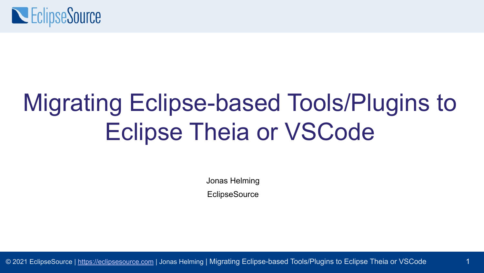

# Migrating Eclipse-based Tools/Plugins to Eclipse Theia or VSCode

Jonas Helming

**EclipseSource** 

1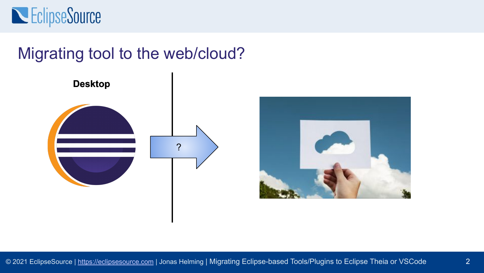

#### Migrating tool to the web/cloud?



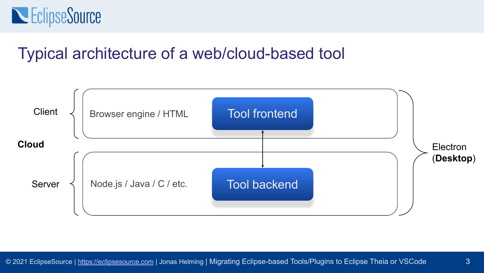

#### Typical architecture of a web/cloud-based tool

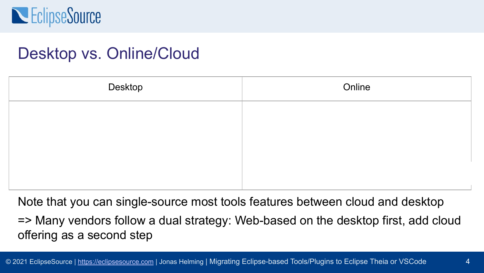

#### Desktop vs. Online/Cloud

| Desktop | Online |
|---------|--------|
|         |        |
|         |        |
|         |        |
|         |        |

Note that you can single-source most tools features between cloud and desktop => Many vendors follow a dual strategy: Web-based on the desktop first, add cloud offering as a second step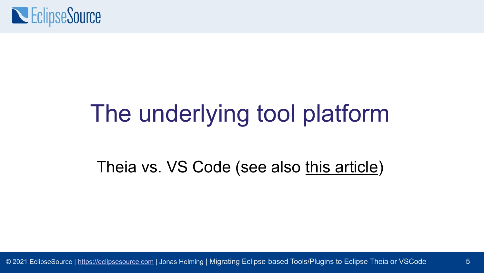

## The underlying tool platform

#### Theia vs. VS Code (see also [this article\)](https://eclipsesource.com/blogs/2019/12/06/the-eclipse-theia-ide-vs-vs-code/)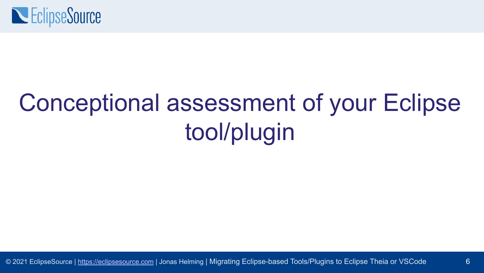

# Conceptional assessment of your Eclipse tool/plugin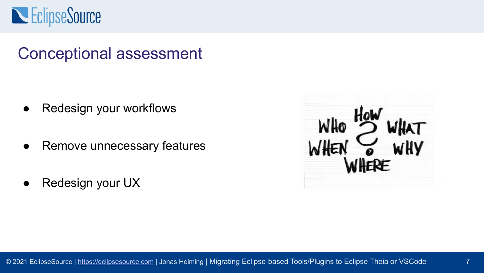### **NEClipseSource**

#### Conceptional assessment

- Redesign your workflows
- Remove unnecessary features
- Redesign your UX

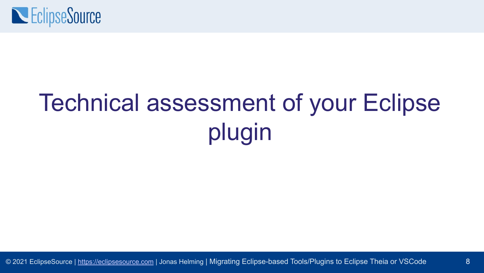

# Technical assessment of your Eclipse plugin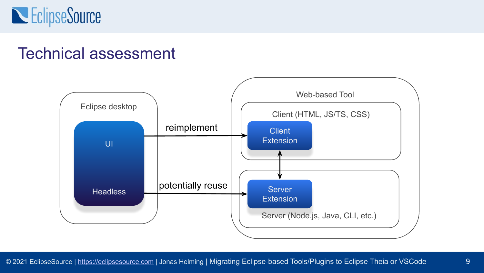### **NEClipseSource**

#### Technical assessment

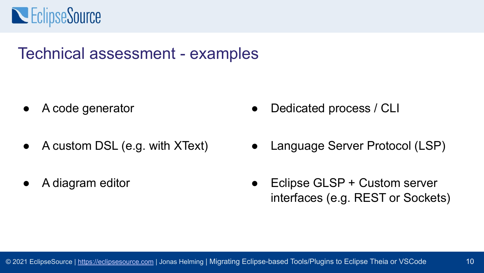

#### Technical assessment - examples

- A code generator
- A custom DSL (e.g. with XText)
- A diagram editor
- Dedicated process / CLI
- Language Server Protocol (LSP)
- Eclipse GLSP + Custom server interfaces (e.g. REST or Sockets)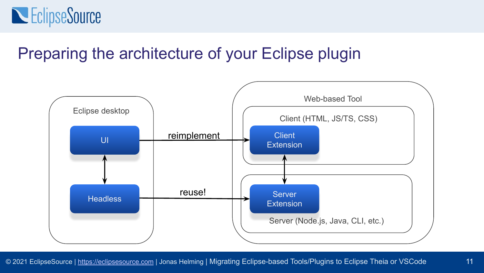

#### Preparing the architecture of your Eclipse plugin

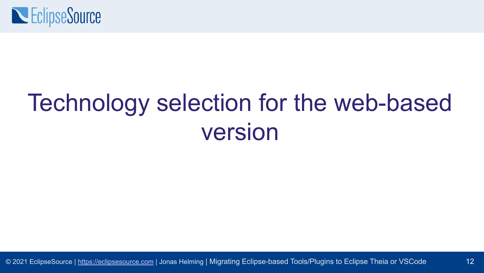

# Technology selection for the web-based version

12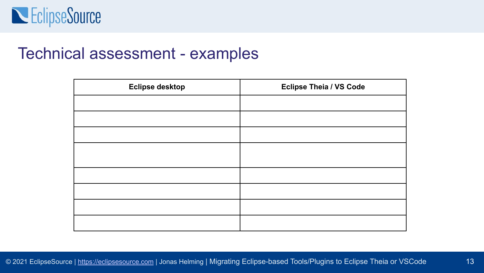

#### Technical assessment - examples

| <b>Eclipse desktop</b> | <b>Eclipse Theia / VS Code</b> |
|------------------------|--------------------------------|
|                        |                                |
|                        |                                |
|                        |                                |
|                        |                                |
|                        |                                |
|                        |                                |
|                        |                                |
|                        |                                |
|                        |                                |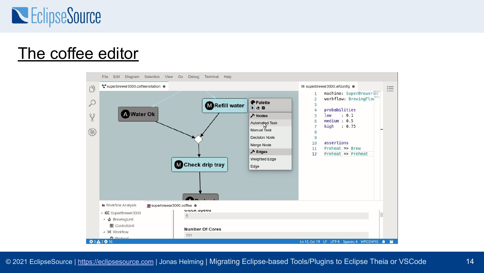

#### [The coffee editor](https://www.eclipse.org/emfcloud/#coffeeeditoroverview)

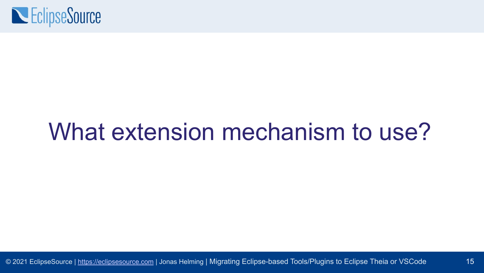

### What extension mechanism to use?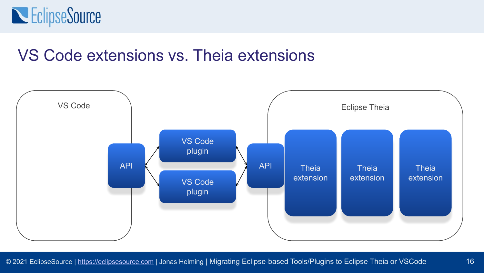

#### VS Code extensions vs. Theia extensions

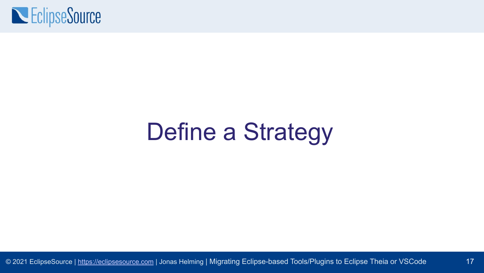

# Define a Strategy

17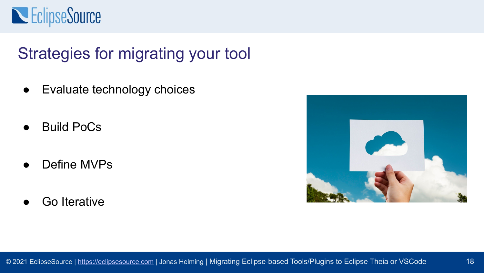### **NEClipseSource**

### Strategies for migrating your tool

- Evaluate technology choices
- **Build PoCs**
- Define MVPs
- Go Iterative

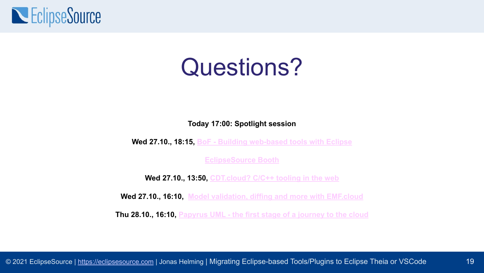

### Questions?

**Today 17:00: Spotlight session**

**Wed 27.10., 18:15, [BoF - Building web-based tools with Eclipse](https://www.eclipsecon.org/2021/bofs/birds-feather-bof-building-web-based-tools-eclipse)**

**EclipseSource Booth**

**Wed 27.10., 13:50, [CDT.cloud? C/C++ tooling in the web](https://www.eclipsecon.org/2021/sessions/cdtcloud-cc-tooling-web)**

**Wed 27.10., 16:10, [Model validation, diffing and more with EMF.cloud](https://www.eclipsecon.org/2021/sessions/model-validation-diffing-and-more-emfcloud)**

**Thu 28.10., 16:10, [Papyrus UML - the first stage of a journey to the cloud](https://www.eclipsecon.org/2021/sessions/papyrus-uml-first-stage-journey-cloud)**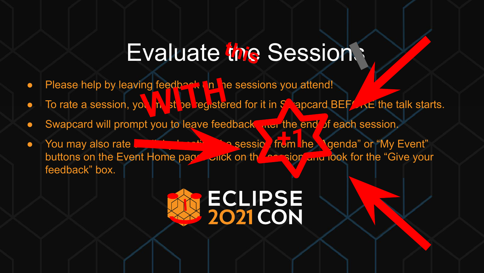### **Evaluate the Sessions**

- 
- Please help by leaving feedback on the sessions you attend!<br>● To rate a session, you at a session, you attend to registered for it in  $\frac{1}{2}$  apcard E **•** To rate a session, you hust be registered for it in  $S$ , apcard BEFORE the talk starts.
- o Swapcard will prompt you to leave feedback and the end of each session.
- You may also rate **a talk by locating the session from the "Agenda"** or "My Event" buttons on the Event Home page. Click on the session and look for the "Give your" feedback" box.

# ECLIPSE<br>2021CON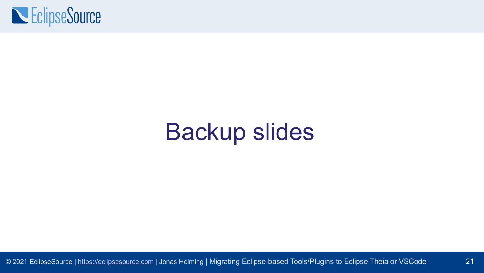

### Backup slides

21